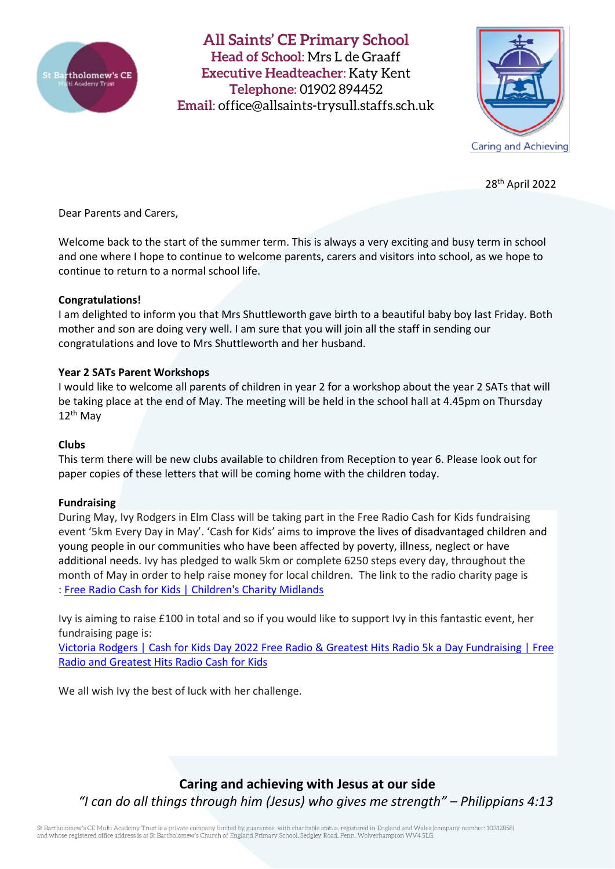

**All Saints' CE Primary School Head of School**: Mrs L de Graaff **Executive Headteacher**: Katy Kent **Telephone**: 01902 894452 **Email**: [office@allsaints-trysull.staffs.sch.uk](mailto:office@allsaints-trysull.staffs.sch.uk)



28th April 2022

Dear Parents and Carers,

Welcome back to the start of the summer term. This is always a very exciting and busy term in school and one where I hope to continue to welcome parents, carers and visitors into school, as we hope to continue to return to a normal school life.

### **Congratulations!**

I am delighted to inform you that Mrs Shuttleworth gave birth to a beautiful baby boy last Friday. Both mother and son are doing very well. I am sure that you will join all the staff in sending our congratulations and love to Mrs Shuttleworth and her husband.

## **Year 2 SATs Parent Workshops**

I would like to welcome all parents of children in year 2 for a workshop about the year 2 SATs that will be taking place at the end of May. The meeting will be held in the school hall at 4.45pm on Thursday 12th May

### **Clubs**

This term there will be new clubs available to children from Reception to year 6. Please look out for paper copies of these letters that will be coming home with the children today.

### **Fundraising**

During May, Ivy Rodgers in Elm Class will be taking part in the Free Radio Cash for Kids fundraising event '5km Every Day in May'. 'Cash for Kids' aims to improve the lives of disadvantaged children and young people in our communities who have been affected by poverty, illness, neglect or have additional needs. Ivy has pledged to walk 5km or complete 6250 steps every day, throughout the month of May in order to help raise money for local children. The link to the radio charity page is : Free Radio Cash for Kids | [Children's](https://planetradio.co.uk/free/cashforkids/) Charity Midlands

Ivy is aiming to raise £100 in total and so if you would like to support Ivy in this fantastic event, her fundraising page is:

Victoria Rodgers | Cash for Kids Day 2022 Free Radio & Greatest Hits Radio 5k a Day [Fundraising](https://www.cashforkidsgive.co.uk/campaign/cash-for-kids-day-2022-free-ghr-5k-a-day-fundraising/fundraisers/ivy%20(victoria)%20rodgers/) | Free Radio and [Greatest](https://www.cashforkidsgive.co.uk/campaign/cash-for-kids-day-2022-free-ghr-5k-a-day-fundraising/fundraisers/ivy%20(victoria)%20rodgers/) Hits Radio Cash for Kids

We all wish Ivy the best of luck with her challenge.

# **Caring and achieving with Jesus at our side** *"I can do all things through him (Jesus) who gives me strength" – Philippians 4:13*